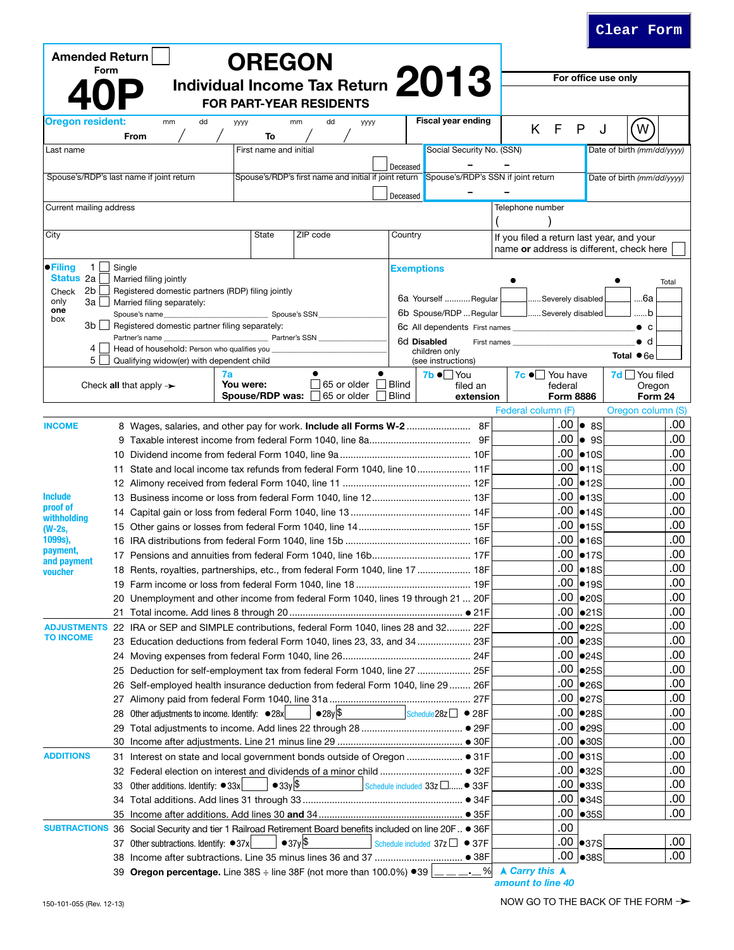| <b>Amended Return</b>                    |        |                                                                                                           | <b>OREGON</b>                |                                                                                                                                                                         |                         |                                          |                                                                                       |                                            |                            |
|------------------------------------------|--------|-----------------------------------------------------------------------------------------------------------|------------------------------|-------------------------------------------------------------------------------------------------------------------------------------------------------------------------|-------------------------|------------------------------------------|---------------------------------------------------------------------------------------|--------------------------------------------|----------------------------|
| Form                                     |        |                                                                                                           |                              | Individual Income Tax Return 2013                                                                                                                                       |                         |                                          |                                                                                       |                                            | For office use only        |
|                                          |        |                                                                                                           |                              | <b>FOR PART-YEAR RESIDENTS</b>                                                                                                                                          |                         |                                          |                                                                                       |                                            |                            |
| <b>Oregon resident:</b>                  | From   | dd<br>mm                                                                                                  | уууу<br>To                   | dd<br>mm<br>уууу                                                                                                                                                        |                         | <b>Fiscal year ending</b>                | K F                                                                                   | P                                          | <b>W</b><br>J              |
| Last name                                |        |                                                                                                           | First name and initial       |                                                                                                                                                                         |                         | Social Security No. (SSN)                |                                                                                       |                                            | Date of birth (mm/dd/yyyy) |
| Spouse's/RDP's last name if joint return |        |                                                                                                           |                              | Spouse's/RDP's first name and initial if joint return Spouse's/RDP's SSN if joint return                                                                                | Deceased                |                                          |                                                                                       |                                            | Date of birth (mm/dd/yyyy) |
|                                          |        |                                                                                                           |                              |                                                                                                                                                                         | Deceased                |                                          |                                                                                       |                                            |                            |
| Current mailing address                  |        |                                                                                                           |                              |                                                                                                                                                                         |                         |                                          | Telephone number                                                                      |                                            |                            |
| City                                     |        |                                                                                                           | State                        | ZIP code                                                                                                                                                                | Country                 |                                          | If you filed a return last year, and your<br>name or address is different, check here |                                            |                            |
| $\bullet$ Filing<br>1                    | Single |                                                                                                           |                              |                                                                                                                                                                         |                         |                                          |                                                                                       |                                            |                            |
| Status 2a<br>2b<br>Check<br>only<br>3a l |        | Married filing jointly<br>Registered domestic partners (RDP) filing jointly<br>Married filing separately: |                              |                                                                                                                                                                         |                         | <b>Exemptions</b><br>6a Yourself Regular | Severely disabled                                                                     |                                            | Total<br>6а                |
| one                                      |        | Spouse's name                                                                                             |                              | Spouse's SSN                                                                                                                                                            |                         | 6b Spouse/RDP  Regular                   | Severely disabled [                                                                   |                                            | b                          |
| box<br>3b l                              |        | Registered domestic partner filing separately:                                                            |                              |                                                                                                                                                                         |                         | 6c All dependents First names            |                                                                                       |                                            | $\bullet$ $\circ$          |
| 4                                        |        | Partner's name                                                                                            |                              | Partner's SSN                                                                                                                                                           |                         | 6d Disabled                              | First names                                                                           |                                            | $\bullet$ d                |
| 5                                        |        | Head of household: Person who qualifies you<br>Qualifying widow(er) with dependent child                  |                              |                                                                                                                                                                         |                         | children only<br>(see instructions)      |                                                                                       |                                            | Total $\bullet$ 6e         |
|                                          |        |                                                                                                           | 7a                           |                                                                                                                                                                         | $\bullet$               | 7b ● You                                 | $7c \bullet$ You have                                                                 |                                            | $7d$ $\Box$ You filed      |
|                                          |        | Check all that apply $\rightarrow$                                                                        | You were:<br>Spouse/RDP was: | 65 or older $\Box$<br>65 or older                                                                                                                                       | <b>Blind</b><br>  Blind | filed an<br>extension                    | federal<br><b>Form 8886</b>                                                           |                                            | Oregon<br>Form 24          |
|                                          |        |                                                                                                           |                              |                                                                                                                                                                         |                         |                                          | Federal column (F)                                                                    |                                            | Oregon column (S)          |
| <b>INCOME</b>                            |        |                                                                                                           |                              | 8 Wages, salaries, and other pay for work. Include all Forms W-2 8F                                                                                                     |                         |                                          |                                                                                       | .00  ● 8S                                  | .00                        |
|                                          |        |                                                                                                           |                              |                                                                                                                                                                         |                         |                                          | .00                                                                                   | $\bullet$ 9S                               | .00                        |
|                                          |        |                                                                                                           |                              |                                                                                                                                                                         |                         |                                          | .00                                                                                   | $\bullet$ 10S                              | .00                        |
|                                          | 11     |                                                                                                           |                              | State and local income tax refunds from federal Form 1040, line 10 11F                                                                                                  |                         |                                          | .00                                                                                   | •11S                                       | .00                        |
|                                          |        |                                                                                                           |                              |                                                                                                                                                                         |                         |                                          | .00                                                                                   | •12S                                       | .00                        |
| <b>Include</b>                           |        |                                                                                                           |                              |                                                                                                                                                                         |                         |                                          | .00                                                                                   | •13S                                       | .00                        |
| proof of<br>withholding                  |        |                                                                                                           |                              |                                                                                                                                                                         |                         |                                          | .00                                                                                   | •14S                                       | .00                        |
| (W-2s,                                   |        |                                                                                                           |                              |                                                                                                                                                                         |                         |                                          | .00                                                                                   | •15S                                       | .00                        |
| 1099s),                                  |        |                                                                                                           |                              |                                                                                                                                                                         |                         |                                          | .00                                                                                   | •16S                                       | .00                        |
| payment,<br>and payment                  |        |                                                                                                           |                              |                                                                                                                                                                         |                         |                                          | .00                                                                                   | •17S                                       | .00                        |
| voucher                                  |        |                                                                                                           |                              | 18 Rents, royalties, partnerships, etc., from federal Form 1040, line 17  18F                                                                                           |                         |                                          | .00                                                                                   | •18S                                       | .00                        |
|                                          |        |                                                                                                           |                              |                                                                                                                                                                         |                         |                                          |                                                                                       | .00 longs                                  | .00                        |
|                                          |        |                                                                                                           |                              | 20 Unemployment and other income from federal Form 1040, lines 19 through 21  20F                                                                                       |                         |                                          |                                                                                       | $.00$ $ •20S$                              | .00                        |
|                                          |        |                                                                                                           |                              |                                                                                                                                                                         |                         |                                          |                                                                                       | $.00$ $\bullet$ 21S<br>$.00$ $\bullet$ 22S | .00<br>.00                 |
| <b>TO INCOME</b>                         |        |                                                                                                           |                              | ADJUSTMENTS 22 IRA or SEP and SIMPLE contributions, federal Form 1040, lines 28 and 32 22F<br>23 Education deductions from federal Form 1040, lines 23, 33, and 34  23F |                         |                                          |                                                                                       | $.00$ $ •23S$                              | .00                        |
|                                          |        |                                                                                                           |                              |                                                                                                                                                                         |                         |                                          |                                                                                       | $.00$ $ •24S$                              | .00                        |
|                                          | 25     |                                                                                                           |                              | Deduction for self-employment tax from federal Form 1040, line 27  25F                                                                                                  |                         |                                          |                                                                                       | $.00$ $ •25S$                              | .00                        |
|                                          | 26     |                                                                                                           |                              | Self-employed health insurance deduction from federal Form 1040, line 29  26F                                                                                           |                         |                                          | .00                                                                                   | $\bullet$ 26S                              | .00                        |
|                                          |        |                                                                                                           |                              |                                                                                                                                                                         |                         |                                          | .00                                                                                   | •27S                                       | .00                        |
|                                          | 28     | Other adjustments to income. Identify: ● 28x                                                              |                              | $•28y$ \$                                                                                                                                                               |                         | Schedule $28z \Box \bullet 28F$          |                                                                                       | $.00$ $\bullet$ 28S                        | .00                        |
|                                          | 29     |                                                                                                           |                              |                                                                                                                                                                         |                         |                                          | .00                                                                                   | $\bullet$ 29S                              | .00                        |
|                                          | 30     |                                                                                                           |                              |                                                                                                                                                                         |                         |                                          |                                                                                       | $.00$ $\bullet$ 30S                        | .00                        |
| <b>ADDITIONS</b>                         | 31     |                                                                                                           |                              |                                                                                                                                                                         |                         |                                          |                                                                                       | .00  ●31S                                  | .00                        |
|                                          |        |                                                                                                           |                              | 32 Federal election on interest and dividends of a minor child  ● 32F                                                                                                   |                         |                                          | .00                                                                                   | •32S                                       | .00                        |
|                                          | 33     | Other additions. Identify: $\bullet$ 33x                                                                  | $\bullet$ 33y \$             |                                                                                                                                                                         |                         | Schedule included $33z$ $\Box$ • 33F     |                                                                                       | $.00$ $\bullet$ 33S                        | .00                        |
|                                          | 34     |                                                                                                           |                              |                                                                                                                                                                         |                         |                                          | .00                                                                                   | $\bullet$ 34S                              | .00                        |
|                                          |        |                                                                                                           |                              |                                                                                                                                                                         |                         |                                          | .00                                                                                   | $\bigcirc$ 35S                             | .00                        |
|                                          |        |                                                                                                           |                              | SUBTRACTIONS 36 Social Security and tier 1 Railroad Retirement Board benefits included on line 20F ● 36F                                                                |                         |                                          | .00                                                                                   |                                            |                            |
|                                          |        | 37 Other subtractions. Identify: ● 37x                                                                    |                              | $\bullet$ 37y \$                                                                                                                                                        |                         | Schedule included $37z \Box \bullet 37F$ |                                                                                       | $.00$ $ •37S $                             | .00                        |
|                                          |        |                                                                                                           |                              |                                                                                                                                                                         |                         |                                          |                                                                                       | $.00$ $ _{\bullet 38S}$                    | .00                        |
|                                          |        |                                                                                                           |                              | 39 Oregon percentage. Line 38S $\div$ line 38F (not more than 100.0%) $\bullet$ 39 $\boxed{\phantom{1}}$                                                                |                         | %<br>$\rightarrow$                       | <b>A Carry this A</b>                                                                 |                                            |                            |

**Clear Form**